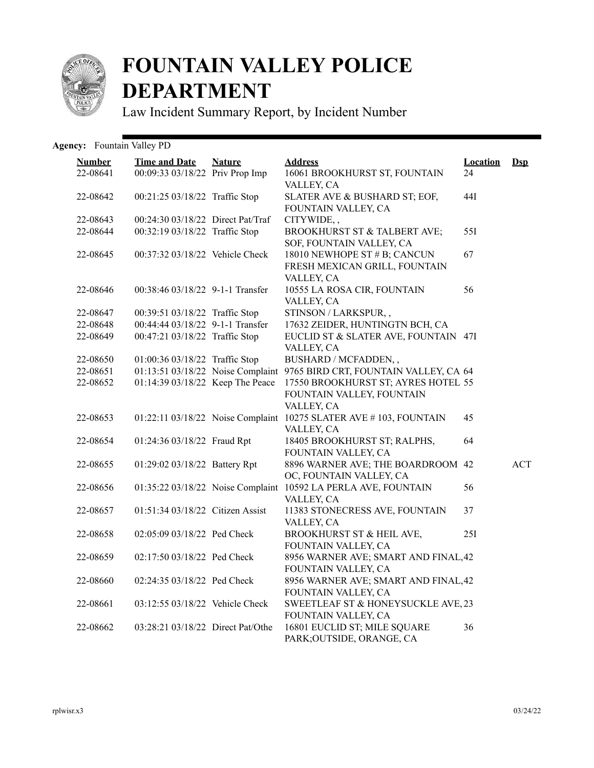

## **FOUNTAIN VALLEY POLICE DEPARTMENT**

Law Incident Summary Report, by Incident Number

## Agency: Fountain Valley PD

| <b>Number</b><br>22-08641 | <b>Time and Date</b><br>00:09:33 03/18/22 Priv Prop Imp | <b>Nature</b> | <b>Address</b><br>16061 BROOKHURST ST, FOUNTAIN                                 | <b>Location</b><br>24 | $\mathbf{Dsp}$ |
|---------------------------|---------------------------------------------------------|---------------|---------------------------------------------------------------------------------|-----------------------|----------------|
| 22-08642                  | 00:21:25 03/18/22 Traffic Stop                          |               | VALLEY, CA<br>SLATER AVE & BUSHARD ST; EOF,<br>FOUNTAIN VALLEY, CA              | 44I                   |                |
| 22-08643                  | 00:24:30 03/18/22 Direct Pat/Traf                       |               | CITYWIDE,,                                                                      |                       |                |
| 22-08644                  | 00:32:19 03/18/22 Traffic Stop                          |               | BROOKHURST ST & TALBERT AVE;<br>SOF, FOUNTAIN VALLEY, CA                        | 55I                   |                |
| 22-08645                  | 00:37:32 03/18/22 Vehicle Check                         |               | 18010 NEWHOPE ST # B; CANCUN<br>FRESH MEXICAN GRILL, FOUNTAIN<br>VALLEY, CA     | 67                    |                |
| 22-08646                  | 00:38:46 03/18/22 9-1-1 Transfer                        |               | 10555 LA ROSA CIR, FOUNTAIN<br>VALLEY, CA                                       | 56                    |                |
| 22-08647                  | 00:39:51 03/18/22 Traffic Stop                          |               | STINSON / LARKSPUR,,                                                            |                       |                |
| 22-08648                  | 00:44:44 03/18/22 9-1-1 Transfer                        |               | 17632 ZEIDER, HUNTINGTN BCH, CA                                                 |                       |                |
| 22-08649                  | 00:47:21 03/18/22 Traffic Stop                          |               | EUCLID ST & SLATER AVE, FOUNTAIN 47I                                            |                       |                |
|                           |                                                         |               | VALLEY, CA                                                                      |                       |                |
| 22-08650                  | 01:00:36 03/18/22 Traffic Stop                          |               | BUSHARD / MCFADDEN, ,                                                           |                       |                |
| 22-08651                  |                                                         |               | 01:13:51 03/18/22 Noise Complaint 9765 BIRD CRT, FOUNTAIN VALLEY, CA 64         |                       |                |
| 22-08652                  | 01:14:39 03/18/22 Keep The Peace                        |               | 17550 BROOKHURST ST; AYRES HOTEL 55<br>FOUNTAIN VALLEY, FOUNTAIN<br>VALLEY, CA  |                       |                |
| 22-08653                  |                                                         |               | 01:22:11 03/18/22 Noise Complaint 10275 SLATER AVE #103, FOUNTAIN<br>VALLEY, CA | 45                    |                |
| 22-08654                  | 01:24:36 03/18/22 Fraud Rpt                             |               | 18405 BROOKHURST ST; RALPHS,<br>FOUNTAIN VALLEY, CA                             | 64                    |                |
| 22-08655                  | 01:29:02 03/18/22 Battery Rpt                           |               | 8896 WARNER AVE; THE BOARDROOM 42<br>OC, FOUNTAIN VALLEY, CA                    |                       | ACT            |
| 22-08656                  |                                                         |               | 01:35:22 03/18/22 Noise Complaint 10592 LA PERLA AVE, FOUNTAIN<br>VALLEY, CA    | 56                    |                |
| 22-08657                  | 01:51:34 03/18/22 Citizen Assist                        |               | 11383 STONECRESS AVE, FOUNTAIN<br>VALLEY, CA                                    | 37                    |                |
| 22-08658                  | 02:05:09 03/18/22 Ped Check                             |               | BROOKHURST ST & HEIL AVE,<br>FOUNTAIN VALLEY, CA                                | 25I                   |                |
| 22-08659                  | 02:17:50 03/18/22 Ped Check                             |               | 8956 WARNER AVE; SMART AND FINAL, 42<br>FOUNTAIN VALLEY, CA                     |                       |                |
| 22-08660                  | 02:24:35 03/18/22 Ped Check                             |               | 8956 WARNER AVE; SMART AND FINAL, 42<br>FOUNTAIN VALLEY, CA                     |                       |                |
| 22-08661                  | 03:12:55 03/18/22 Vehicle Check                         |               | SWEETLEAF ST & HONEYSUCKLE AVE, 23<br>FOUNTAIN VALLEY, CA                       |                       |                |
| 22-08662                  | 03:28:21 03/18/22 Direct Pat/Othe                       |               | 16801 EUCLID ST; MILE SQUARE<br>PARK; OUTSIDE, ORANGE, CA                       | 36                    |                |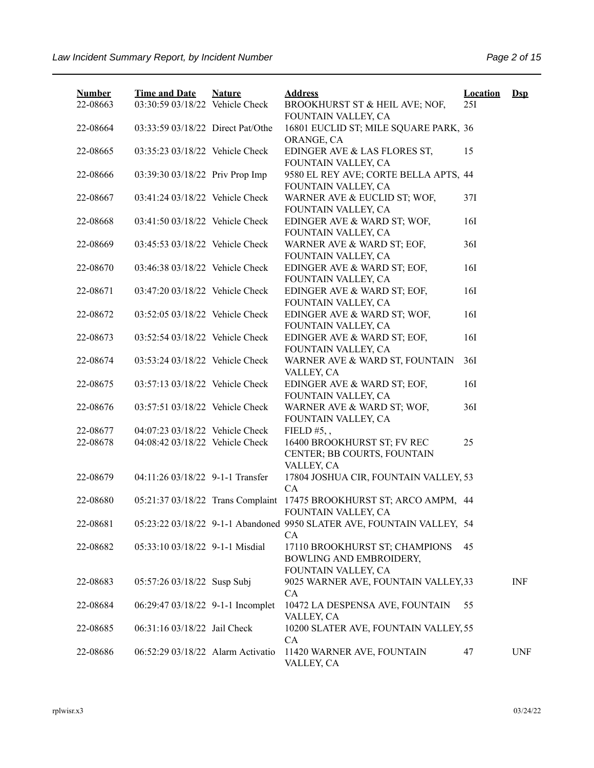| <b>Number</b><br>22-08663 | <b>Time and Date</b><br>03:30:59 03/18/22 Vehicle Check | <b>Nature</b> | <b>Address</b><br>BROOKHURST ST & HEIL AVE; NOF,                             | <b>Location</b><br>25I | $Dep$      |
|---------------------------|---------------------------------------------------------|---------------|------------------------------------------------------------------------------|------------------------|------------|
| 22-08664                  | 03:33:59 03/18/22 Direct Pat/Othe                       |               | FOUNTAIN VALLEY, CA<br>16801 EUCLID ST; MILE SQUARE PARK, 36                 |                        |            |
| 22-08665                  | 03:35:23 03/18/22 Vehicle Check                         |               | ORANGE, CA<br>EDINGER AVE & LAS FLORES ST,<br>FOUNTAIN VALLEY, CA            | 15                     |            |
| 22-08666                  | 03:39:30 03/18/22 Priv Prop Imp                         |               | 9580 EL REY AVE; CORTE BELLA APTS, 44<br>FOUNTAIN VALLEY, CA                 |                        |            |
| 22-08667                  | 03:41:24 03/18/22 Vehicle Check                         |               | WARNER AVE & EUCLID ST; WOF,<br>FOUNTAIN VALLEY, CA                          | 37I                    |            |
| 22-08668                  | 03:41:50 03/18/22 Vehicle Check                         |               | EDINGER AVE & WARD ST; WOF,<br>FOUNTAIN VALLEY, CA                           | 16I                    |            |
| 22-08669                  | 03:45:53 03/18/22 Vehicle Check                         |               | WARNER AVE & WARD ST; EOF,<br>FOUNTAIN VALLEY, CA                            | 36I                    |            |
| 22-08670                  | 03:46:38 03/18/22 Vehicle Check                         |               | EDINGER AVE & WARD ST; EOF,<br>FOUNTAIN VALLEY, CA                           | 16I                    |            |
| 22-08671                  | 03:47:20 03/18/22 Vehicle Check                         |               | EDINGER AVE & WARD ST; EOF,<br>FOUNTAIN VALLEY, CA                           | 16I                    |            |
| 22-08672                  | 03:52:05 03/18/22 Vehicle Check                         |               | EDINGER AVE & WARD ST; WOF,<br>FOUNTAIN VALLEY, CA                           | 16I                    |            |
| 22-08673                  | 03:52:54 03/18/22 Vehicle Check                         |               | EDINGER AVE & WARD ST; EOF,<br>FOUNTAIN VALLEY, CA                           | 16I                    |            |
| 22-08674                  | 03:53:24 03/18/22 Vehicle Check                         |               | WARNER AVE & WARD ST, FOUNTAIN<br>VALLEY, CA                                 | 36I                    |            |
| 22-08675                  | 03:57:13 03/18/22 Vehicle Check                         |               | EDINGER AVE & WARD ST; EOF,<br>FOUNTAIN VALLEY, CA                           | 16I                    |            |
| 22-08676                  | 03:57:51 03/18/22 Vehicle Check                         |               | WARNER AVE & WARD ST; WOF,<br>FOUNTAIN VALLEY, CA                            | 36I                    |            |
| 22-08677                  | 04:07:23 03/18/22 Vehicle Check                         |               | FIELD $#5, ,$                                                                |                        |            |
| 22-08678                  | 04:08:42 03/18/22 Vehicle Check                         |               | 16400 BROOKHURST ST; FV REC<br>CENTER; BB COURTS, FOUNTAIN<br>VALLEY, CA     | 25                     |            |
| 22-08679                  | 04:11:26 03/18/22 9-1-1 Transfer                        |               | 17804 JOSHUA CIR, FOUNTAIN VALLEY, 53<br>CA                                  |                        |            |
| 22-08680                  | 05:21:37 03/18/22 Trans Complaint                       |               | 17475 BROOKHURST ST; ARCO AMPM, 44<br>FOUNTAIN VALLEY, CA                    |                        |            |
| 22-08681                  |                                                         |               | 05:23:22 03/18/22 9-1-1 Abandoned 9950 SLATER AVE, FOUNTAIN VALLEY, 54<br>CA |                        |            |
| 22-08682                  | 05:33:10 03/18/22 9-1-1 Misdial                         |               | 17110 BROOKHURST ST; CHAMPIONS<br>BOWLING AND EMBROIDERY,                    | 45                     |            |
| 22-08683                  | 05:57:26 03/18/22 Susp Subj                             |               | FOUNTAIN VALLEY, CA<br>9025 WARNER AVE, FOUNTAIN VALLEY, 33<br>CA            |                        | <b>INF</b> |
| 22-08684                  | 06:29:47 03/18/22 9-1-1 Incomplet                       |               | 10472 LA DESPENSA AVE, FOUNTAIN<br>VALLEY, CA                                | 55                     |            |
| 22-08685                  | 06:31:16 03/18/22 Jail Check                            |               | 10200 SLATER AVE, FOUNTAIN VALLEY, 55<br>CA                                  |                        |            |
| 22-08686                  | 06:52:29 03/18/22 Alarm Activatio                       |               | 11420 WARNER AVE, FOUNTAIN<br>VALLEY, CA                                     | 47                     | <b>UNF</b> |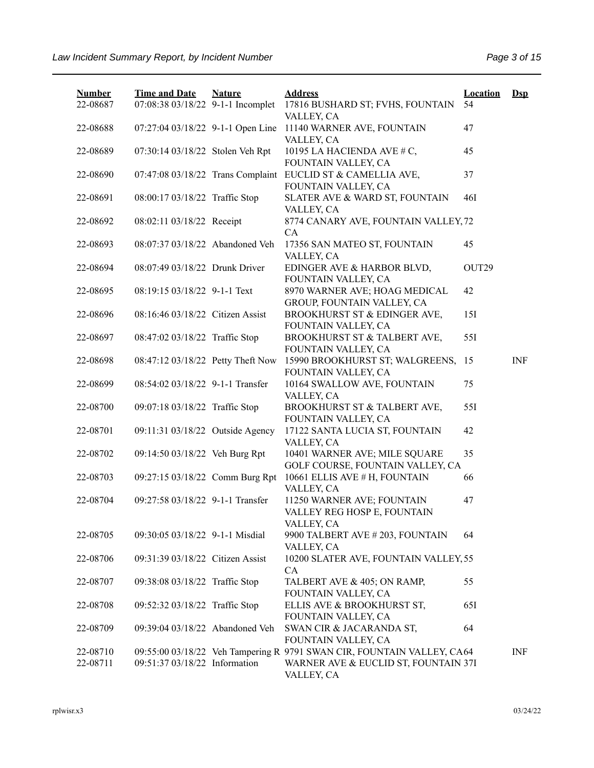| <b>Number</b> | <b>Time and Date</b>              | <b>Nature</b> | <b>Address</b>                                                         | <b>Location</b> | $Dsp$      |
|---------------|-----------------------------------|---------------|------------------------------------------------------------------------|-----------------|------------|
| 22-08687      | 07:08:38 03/18/22 9-1-1 Incomplet |               | 17816 BUSHARD ST; FVHS, FOUNTAIN<br>VALLEY, CA                         | 54              |            |
| 22-08688      | 07:27:04 03/18/22 9-1-1 Open Line |               | 11140 WARNER AVE, FOUNTAIN                                             | 47              |            |
| 22-08689      | 07:30:14 03/18/22 Stolen Veh Rpt  |               | VALLEY, CA<br>10195 LA HACIENDA AVE # C,                               | 45              |            |
|               |                                   |               | FOUNTAIN VALLEY, CA                                                    |                 |            |
| 22-08690      | 07:47:08 03/18/22 Trans Complaint |               | EUCLID ST & CAMELLIA AVE,<br>FOUNTAIN VALLEY, CA                       | 37              |            |
| 22-08691      | 08:00:17 03/18/22 Traffic Stop    |               | SLATER AVE & WARD ST, FOUNTAIN                                         | 46I             |            |
| 22-08692      | 08:02:11 03/18/22 Receipt         |               | VALLEY, CA<br>8774 CANARY AVE, FOUNTAIN VALLEY, 72                     |                 |            |
| 22-08693      | 08:07:37 03/18/22 Abandoned Veh   |               | CA<br>17356 SAN MATEO ST, FOUNTAIN                                     | 45              |            |
|               |                                   |               | VALLEY, CA                                                             |                 |            |
| 22-08694      | 08:07:49 03/18/22 Drunk Driver    |               | EDINGER AVE & HARBOR BLVD,<br>FOUNTAIN VALLEY, CA                      | OUT29           |            |
| 22-08695      | 08:19:15 03/18/22 9-1-1 Text      |               | 8970 WARNER AVE; HOAG MEDICAL<br>GROUP, FOUNTAIN VALLEY, CA            | 42              |            |
| 22-08696      | 08:16:46 03/18/22 Citizen Assist  |               | BROOKHURST ST & EDINGER AVE,                                           | 151             |            |
|               |                                   |               | FOUNTAIN VALLEY, CA                                                    |                 |            |
| 22-08697      | 08:47:02 03/18/22 Traffic Stop    |               | BROOKHURST ST & TALBERT AVE,<br>FOUNTAIN VALLEY, CA                    | 55I             |            |
| 22-08698      | 08:47:12 03/18/22 Petty Theft Now |               | 15990 BROOKHURST ST; WALGREENS, 15                                     |                 | <b>INF</b> |
| 22-08699      | 08:54:02 03/18/22 9-1-1 Transfer  |               | FOUNTAIN VALLEY, CA<br>10164 SWALLOW AVE, FOUNTAIN                     | 75              |            |
|               |                                   |               | VALLEY, CA                                                             |                 |            |
| 22-08700      | 09:07:18 03/18/22 Traffic Stop    |               | BROOKHURST ST & TALBERT AVE,                                           | 55I             |            |
|               |                                   |               | FOUNTAIN VALLEY, CA                                                    |                 |            |
| 22-08701      | 09:11:31 03/18/22 Outside Agency  |               | 17122 SANTA LUCIA ST, FOUNTAIN<br>VALLEY, CA                           | 42              |            |
| 22-08702      | 09:14:50 03/18/22 Veh Burg Rpt    |               | 10401 WARNER AVE; MILE SQUARE                                          | 35              |            |
|               |                                   |               | GOLF COURSE, FOUNTAIN VALLEY, CA                                       |                 |            |
| 22-08703      | 09:27:15 03/18/22 Comm Burg Rpt   |               | 10661 ELLIS AVE # H, FOUNTAIN                                          | 66              |            |
|               |                                   |               | VALLEY, CA                                                             |                 |            |
| 22-08704      | 09:27:58 03/18/22 9-1-1 Transfer  |               | 11250 WARNER AVE; FOUNTAIN<br>VALLEY REG HOSP E, FOUNTAIN              | 47              |            |
|               |                                   |               | VALLEY, CA                                                             |                 |            |
| 22-08705      | 09:30:05 03/18/22 9-1-1 Misdial   |               | 9900 TALBERT AVE # 203, FOUNTAIN                                       | 64              |            |
|               |                                   |               | VALLEY, CA                                                             |                 |            |
| 22-08706      | 09:31:39 03/18/22 Citizen Assist  |               | 10200 SLATER AVE, FOUNTAIN VALLEY, 55<br>CA                            |                 |            |
| 22-08707      | 09:38:08 03/18/22 Traffic Stop    |               | TALBERT AVE & 405; ON RAMP,                                            | 55              |            |
|               |                                   |               | FOUNTAIN VALLEY, CA                                                    |                 |            |
| 22-08708      | 09:52:32 03/18/22 Traffic Stop    |               | ELLIS AVE & BROOKHURST ST,                                             | 65I             |            |
|               |                                   |               | FOUNTAIN VALLEY, CA                                                    |                 |            |
| 22-08709      | 09:39:04 03/18/22 Abandoned Veh   |               | SWAN CIR & JACARANDA ST,<br>FOUNTAIN VALLEY, CA                        | 64              |            |
| 22-08710      |                                   |               | 09:55:00 03/18/22 Veh Tampering R 9791 SWAN CIR, FOUNTAIN VALLEY, CA64 |                 | INF        |
| 22-08711      | 09:51:37 03/18/22 Information     |               | WARNER AVE & EUCLID ST, FOUNTAIN 37I                                   |                 |            |
|               |                                   |               | VALLEY, CA                                                             |                 |            |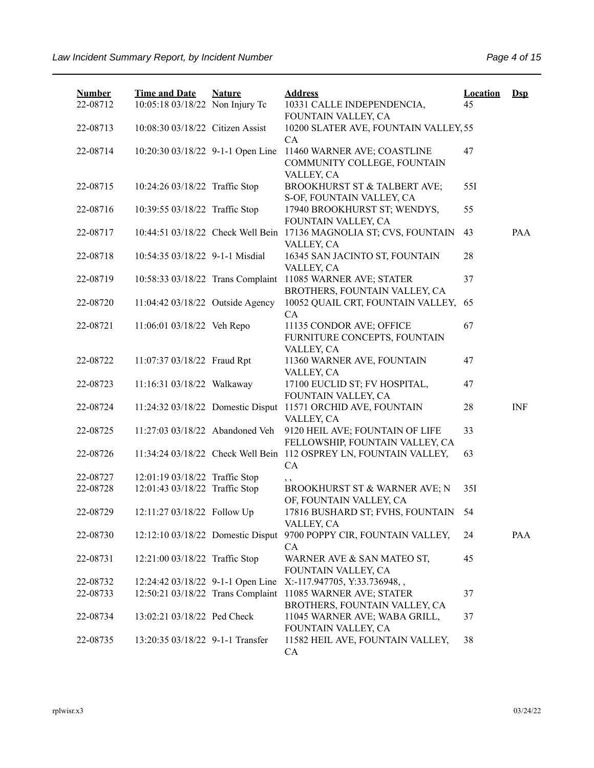| <b>Number</b><br>22-08712 | <b>Time and Date</b>              | <b>Nature</b> | <b>Address</b>                                                                   | <b>Location</b> | $\mathbf{Dsp}$ |
|---------------------------|-----------------------------------|---------------|----------------------------------------------------------------------------------|-----------------|----------------|
|                           | 10:05:18 03/18/22 Non Injury Tc   |               | 10331 CALLE INDEPENDENCIA,<br>FOUNTAIN VALLEY, CA                                | 45              |                |
| 22-08713                  | 10:08:30 03/18/22 Citizen Assist  |               | 10200 SLATER AVE, FOUNTAIN VALLEY, 55<br>CA                                      |                 |                |
| 22-08714                  | 10:20:30 03/18/22 9-1-1 Open Line |               | 11460 WARNER AVE; COASTLINE<br>COMMUNITY COLLEGE, FOUNTAIN<br>VALLEY, CA         | 47              |                |
| 22-08715                  | 10:24:26 03/18/22 Traffic Stop    |               | BROOKHURST ST & TALBERT AVE;<br>S-OF, FOUNTAIN VALLEY, CA                        | 55I             |                |
| 22-08716                  | 10:39:55 03/18/22 Traffic Stop    |               | 17940 BROOKHURST ST; WENDYS,<br>FOUNTAIN VALLEY, CA                              | 55              |                |
| 22-08717                  |                                   |               | 10:44:51 03/18/22 Check Well Bein 17136 MAGNOLIA ST; CVS, FOUNTAIN<br>VALLEY, CA | 43              | PAA            |
| 22-08718                  | 10:54:35 03/18/22 9-1-1 Misdial   |               | 16345 SAN JACINTO ST, FOUNTAIN<br>VALLEY, CA                                     | 28              |                |
| 22-08719                  | 10:58:33 03/18/22 Trans Complaint |               | 11085 WARNER AVE; STATER<br>BROTHERS, FOUNTAIN VALLEY, CA                        | 37              |                |
| 22-08720                  | 11:04:42 03/18/22 Outside Agency  |               | 10052 QUAIL CRT, FOUNTAIN VALLEY,<br>CA                                          | 65              |                |
| 22-08721                  | 11:06:01 03/18/22 Veh Repo        |               | 11135 CONDOR AVE; OFFICE<br>FURNITURE CONCEPTS, FOUNTAIN<br>VALLEY, CA           | 67              |                |
| 22-08722                  | 11:07:37 03/18/22 Fraud Rpt       |               | 11360 WARNER AVE, FOUNTAIN<br>VALLEY, CA                                         | 47              |                |
| 22-08723                  | 11:16:31 03/18/22 Walkaway        |               | 17100 EUCLID ST; FV HOSPITAL,<br>FOUNTAIN VALLEY, CA                             | 47              |                |
| 22-08724                  | 11:24:32 03/18/22 Domestic Disput |               | 11571 ORCHID AVE, FOUNTAIN<br>VALLEY, CA                                         | 28              | <b>INF</b>     |
| 22-08725                  | 11:27:03 03/18/22 Abandoned Veh   |               | 9120 HEIL AVE; FOUNTAIN OF LIFE<br>FELLOWSHIP, FOUNTAIN VALLEY, CA               | 33              |                |
| 22-08726                  |                                   |               | 11:34:24 03/18/22 Check Well Bein 112 OSPREY LN, FOUNTAIN VALLEY,<br>CA          | 63              |                |
| 22-08727                  | 12:01:19 03/18/22 Traffic Stop    |               | , ,                                                                              |                 |                |
| 22-08728                  | 12:01:43 03/18/22 Traffic Stop    |               | BROOKHURST ST & WARNER AVE; N<br>OF, FOUNTAIN VALLEY, CA                         | 35I             |                |
| 22-08729                  | 12:11:27 03/18/22 Follow Up       |               | 17816 BUSHARD ST; FVHS, FOUNTAIN<br>VALLEY, CA                                   | 54              |                |
| 22-08730                  | 12:12:10 03/18/22 Domestic Disput |               | 9700 POPPY CIR, FOUNTAIN VALLEY,<br>CA                                           | 24              | PAA            |
| 22-08731                  | 12:21:00 03/18/22 Traffic Stop    |               | WARNER AVE & SAN MATEO ST,<br>FOUNTAIN VALLEY, CA                                | 45              |                |
| 22-08732                  | 12:24:42 03/18/22 9-1-1 Open Line |               | X:-117.947705, Y:33.736948,,                                                     |                 |                |
| 22-08733                  | 12:50:21 03/18/22 Trans Complaint |               | 11085 WARNER AVE; STATER<br>BROTHERS, FOUNTAIN VALLEY, CA                        | 37              |                |
| 22-08734                  | 13:02:21 03/18/22 Ped Check       |               | 11045 WARNER AVE; WABA GRILL,<br>FOUNTAIN VALLEY, CA                             | 37              |                |
| 22-08735                  | 13:20:35 03/18/22 9-1-1 Transfer  |               | 11582 HEIL AVE, FOUNTAIN VALLEY,<br>CA                                           | 38              |                |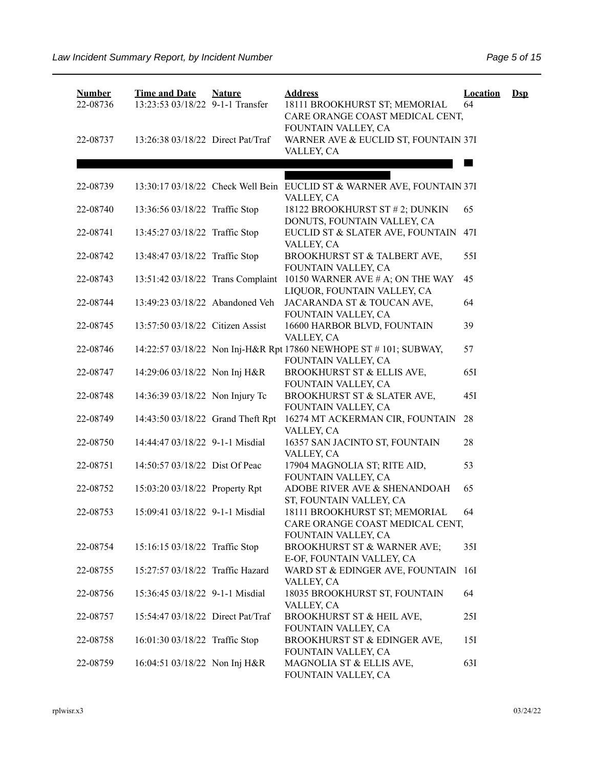| <b>Number</b><br>22-08736 | <b>Time and Date</b><br>13:23:53 03/18/22 9-1-1 Transfer | <b>Nature</b> | <b>Address</b><br>18111 BROOKHURST ST; MEMORIAL<br>CARE ORANGE COAST MEDICAL CENT,       | <b>Location</b><br>64 | $\mathbf{Dsp}$ |
|---------------------------|----------------------------------------------------------|---------------|------------------------------------------------------------------------------------------|-----------------------|----------------|
| 22-08737                  | 13:26:38 03/18/22 Direct Pat/Traf                        |               | FOUNTAIN VALLEY, CA<br>WARNER AVE & EUCLID ST, FOUNTAIN 37I<br>VALLEY, CA                |                       |                |
|                           |                                                          |               |                                                                                          |                       |                |
| 22-08739                  |                                                          |               | 13:30:17 03/18/22 Check Well Bein EUCLID ST & WARNER AVE, FOUNTAIN 37I<br>VALLEY, CA     |                       |                |
| 22-08740                  | 13:36:56 03/18/22 Traffic Stop                           |               | 18122 BROOKHURST ST # 2; DUNKIN<br>DONUTS, FOUNTAIN VALLEY, CA                           | 65                    |                |
| 22-08741                  | 13:45:27 03/18/22 Traffic Stop                           |               | EUCLID ST & SLATER AVE, FOUNTAIN<br>VALLEY, CA                                           | 47I                   |                |
| 22-08742                  | 13:48:47 03/18/22 Traffic Stop                           |               | BROOKHURST ST & TALBERT AVE,<br>FOUNTAIN VALLEY, CA                                      | 551                   |                |
| 22-08743                  | 13:51:42 03/18/22 Trans Complaint                        |               | 10150 WARNER AVE # A; ON THE WAY<br>LIQUOR, FOUNTAIN VALLEY, CA                          | 45                    |                |
| 22-08744                  | 13:49:23 03/18/22 Abandoned Veh                          |               | JACARANDA ST & TOUCAN AVE,<br>FOUNTAIN VALLEY, CA                                        | 64                    |                |
| 22-08745                  | 13:57:50 03/18/22 Citizen Assist                         |               | 16600 HARBOR BLVD, FOUNTAIN<br>VALLEY, CA                                                | 39                    |                |
| 22-08746                  |                                                          |               | 14:22:57 03/18/22 Non Inj-H&R Rpt 17860 NEWHOPE ST # 101; SUBWAY,<br>FOUNTAIN VALLEY, CA | 57                    |                |
| 22-08747                  | 14:29:06 03/18/22 Non Inj H&R                            |               | BROOKHURST ST & ELLIS AVE,<br>FOUNTAIN VALLEY, CA                                        | 65I                   |                |
| 22-08748                  | 14:36:39 03/18/22 Non Injury Tc                          |               | BROOKHURST ST & SLATER AVE,<br>FOUNTAIN VALLEY, CA                                       | 45I                   |                |
| 22-08749                  | 14:43:50 03/18/22 Grand Theft Rpt                        |               | 16274 MT ACKERMAN CIR, FOUNTAIN<br>VALLEY, CA                                            | 28                    |                |
| 22-08750                  | 14:44:47 03/18/22 9-1-1 Misdial                          |               | 16357 SAN JACINTO ST, FOUNTAIN<br>VALLEY, CA                                             | 28                    |                |
| 22-08751                  | 14:50:57 03/18/22 Dist Of Peac                           |               | 17904 MAGNOLIA ST; RITE AID,<br>FOUNTAIN VALLEY, CA                                      | 53                    |                |
| 22-08752                  | 15:03:20 03/18/22 Property Rpt                           |               | ADOBE RIVER AVE & SHENANDOAH<br>ST, FOUNTAIN VALLEY, CA                                  | 65                    |                |
| 22-08753                  | 15:09:41 03/18/22 9-1-1 Misdial                          |               | 18111 BROOKHURST ST; MEMORIAL<br>CARE ORANGE COAST MEDICAL CENT,<br>FOUNTAIN VALLEY, CA  | 64                    |                |
| 22-08754                  | 15:16:15 03/18/22 Traffic Stop                           |               | BROOKHURST ST & WARNER AVE;<br>E-OF, FOUNTAIN VALLEY, CA                                 | 35I                   |                |
| 22-08755                  | 15:27:57 03/18/22 Traffic Hazard                         |               | WARD ST & EDINGER AVE, FOUNTAIN<br>VALLEY, CA                                            | 16I                   |                |
| 22-08756                  | 15:36:45 03/18/22 9-1-1 Misdial                          |               | 18035 BROOKHURST ST, FOUNTAIN<br>VALLEY, CA                                              | 64                    |                |
| 22-08757                  | 15:54:47 03/18/22 Direct Pat/Traf                        |               | BROOKHURST ST & HEIL AVE,<br>FOUNTAIN VALLEY, CA                                         | 25I                   |                |
| 22-08758                  | 16:01:30 03/18/22 Traffic Stop                           |               | BROOKHURST ST & EDINGER AVE,<br>FOUNTAIN VALLEY, CA                                      | 15I                   |                |
| 22-08759                  | 16:04:51 03/18/22 Non Inj H&R                            |               | MAGNOLIA ST & ELLIS AVE,<br>FOUNTAIN VALLEY, CA                                          | 63I                   |                |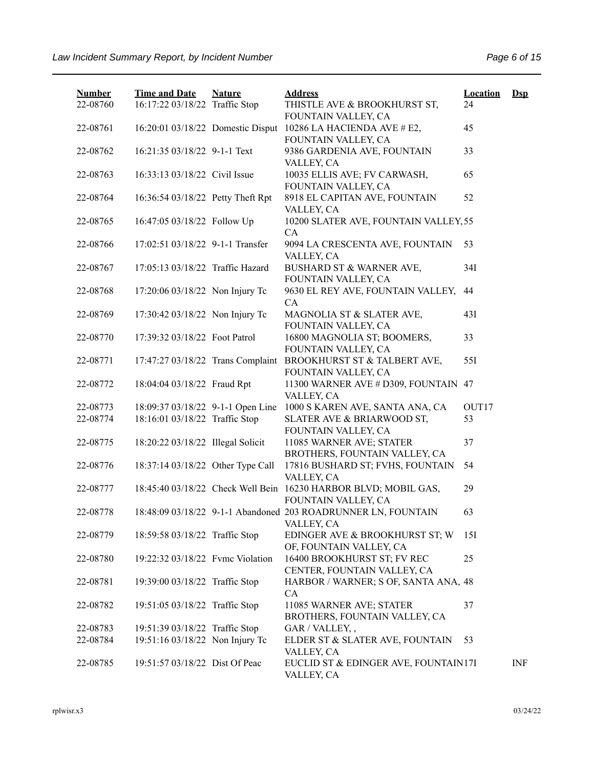| <b>Number</b><br>22-08760 | <b>Time and Date</b><br>16:17:22 03/18/22 Traffic Stop | <b>Nature</b> | <b>Address</b><br>THISTLE AVE & BROOKHURST ST,                                         | <b>Location</b><br>24 | $\mathbf{Dsp}$ |
|---------------------------|--------------------------------------------------------|---------------|----------------------------------------------------------------------------------------|-----------------------|----------------|
| 22-08761                  | 16:20:01 03/18/22 Domestic Disput                      |               | FOUNTAIN VALLEY, CA<br>10286 LA HACIENDA AVE # E2,                                     | 45                    |                |
| 22-08762                  | 16:21:35 03/18/22 9-1-1 Text                           |               | FOUNTAIN VALLEY, CA<br>9386 GARDENIA AVE, FOUNTAIN                                     | 33                    |                |
| 22-08763                  | 16:33:13 03/18/22 Civil Issue                          |               | VALLEY, CA<br>10035 ELLIS AVE; FV CARWASH,<br>FOUNTAIN VALLEY, CA                      | 65                    |                |
| 22-08764                  | 16:36:54 03/18/22 Petty Theft Rpt                      |               | 8918 EL CAPITAN AVE, FOUNTAIN<br>VALLEY, CA                                            | 52                    |                |
| 22-08765                  | 16:47:05 03/18/22 Follow Up                            |               | 10200 SLATER AVE, FOUNTAIN VALLEY, 55<br>CA                                            |                       |                |
| 22-08766                  | 17:02:51 03/18/22 9-1-1 Transfer                       |               | 9094 LA CRESCENTA AVE, FOUNTAIN<br>VALLEY, CA                                          | 53                    |                |
| 22-08767                  | 17:05:13 03/18/22 Traffic Hazard                       |               | BUSHARD ST & WARNER AVE,<br>FOUNTAIN VALLEY, CA                                        | 34I                   |                |
| 22-08768                  | 17:20:06 03/18/22 Non Injury Tc                        |               | 9630 EL REY AVE, FOUNTAIN VALLEY,<br>CA                                                | 44                    |                |
| 22-08769                  | 17:30:42 03/18/22 Non Injury Tc                        |               | MAGNOLIA ST & SLATER AVE,<br>FOUNTAIN VALLEY, CA                                       | 43I                   |                |
| 22-08770                  | 17:39:32 03/18/22 Foot Patrol                          |               | 16800 MAGNOLIA ST; BOOMERS,<br>FOUNTAIN VALLEY, CA                                     | 33                    |                |
| 22-08771                  | 17:47:27 03/18/22 Trans Complaint                      |               | BROOKHURST ST & TALBERT AVE,<br>FOUNTAIN VALLEY, CA                                    | 551                   |                |
| 22-08772                  | 18:04:04 03/18/22 Fraud Rpt                            |               | 11300 WARNER AVE # D309, FOUNTAIN 47<br>VALLEY, CA                                     |                       |                |
| 22-08773                  | 18:09:37 03/18/22 9-1-1 Open Line                      |               | 1000 S KAREN AVE, SANTA ANA, CA                                                        | OUT17                 |                |
| 22-08774                  | 18:16:01 03/18/22 Traffic Stop                         |               | SLATER AVE & BRIARWOOD ST,<br>FOUNTAIN VALLEY, CA                                      | 53                    |                |
| 22-08775                  | 18:20:22 03/18/22 Illegal Solicit                      |               | 11085 WARNER AVE; STATER<br>BROTHERS, FOUNTAIN VALLEY, CA                              | 37                    |                |
| 22-08776                  | 18:37:14 03/18/22 Other Type Call                      |               | 17816 BUSHARD ST; FVHS, FOUNTAIN<br>VALLEY, CA                                         | 54                    |                |
| 22-08777                  |                                                        |               | 18:45:40 03/18/22 Check Well Bein 16230 HARBOR BLVD; MOBIL GAS,<br>FOUNTAIN VALLEY, CA | 29                    |                |
| 22-08778                  |                                                        |               | 18:48:09 03/18/22 9-1-1 Abandoned 203 ROADRUNNER LN, FOUNTAIN<br>VALLEY, CA            | 63                    |                |
| 22-08779                  | 18:59:58 03/18/22 Traffic Stop                         |               | EDINGER AVE & BROOKHURST ST; W<br>OF, FOUNTAIN VALLEY, CA                              | 15I                   |                |
| 22-08780                  | 19:22:32 03/18/22 Fvmc Violation                       |               | 16400 BROOKHURST ST; FV REC<br>CENTER, FOUNTAIN VALLEY, CA                             | 25                    |                |
| 22-08781                  | 19:39:00 03/18/22 Traffic Stop                         |               | HARBOR / WARNER; S OF, SANTA ANA, 48<br>CA                                             |                       |                |
| 22-08782                  | 19:51:05 03/18/22 Traffic Stop                         |               | 11085 WARNER AVE; STATER<br>BROTHERS, FOUNTAIN VALLEY, CA                              | 37                    |                |
| 22-08783                  | 19:51:39 03/18/22 Traffic Stop                         |               | GAR / VALLEY,,                                                                         |                       |                |
| 22-08784                  | 19:51:16 03/18/22 Non Injury Tc                        |               | ELDER ST & SLATER AVE, FOUNTAIN<br>VALLEY, CA                                          | 53                    |                |
| 22-08785                  | 19:51:57 03/18/22 Dist Of Peac                         |               | EUCLID ST & EDINGER AVE, FOUNTAIN17I<br>VALLEY, CA                                     |                       | INF            |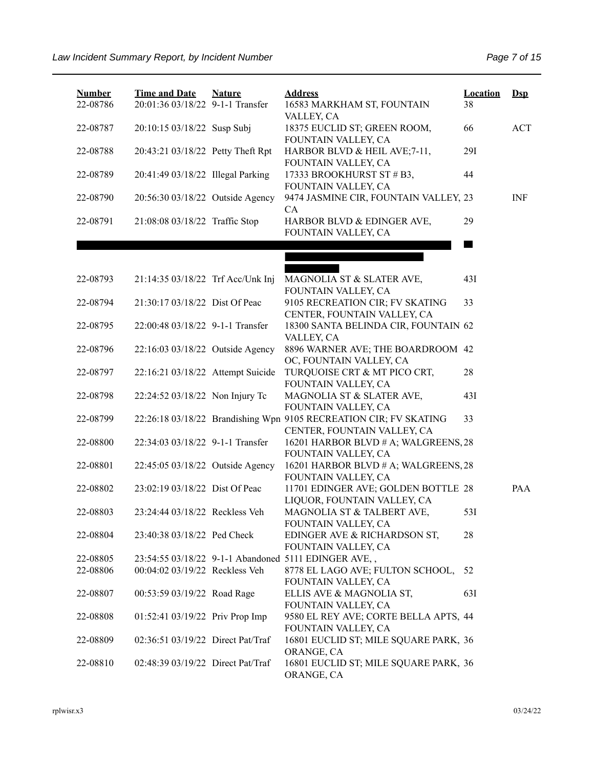| <b>Number</b><br>22-08786 | <b>Time and Date</b><br>20:01:36 03/18/22 9-1-1 Transfer | <b>Nature</b> | <b>Address</b><br>16583 MARKHAM ST, FOUNTAIN<br>VALLEY, CA                                       | <b>Location</b><br>38 | $\mathbf{Dsp}$ |
|---------------------------|----------------------------------------------------------|---------------|--------------------------------------------------------------------------------------------------|-----------------------|----------------|
| 22-08787                  | 20:10:15 03/18/22 Susp Subj                              |               | 18375 EUCLID ST; GREEN ROOM,<br>FOUNTAIN VALLEY, CA                                              | 66                    | <b>ACT</b>     |
| 22-08788                  | 20:43:21 03/18/22 Petty Theft Rpt                        |               | HARBOR BLVD & HEIL AVE;7-11,<br>FOUNTAIN VALLEY, CA                                              | 29I                   |                |
| 22-08789                  | 20:41:49 03/18/22 Illegal Parking                        |               | 17333 BROOKHURST ST # B3,<br>FOUNTAIN VALLEY, CA                                                 | 44                    |                |
| 22-08790                  | 20:56:30 03/18/22 Outside Agency                         |               | 9474 JASMINE CIR, FOUNTAIN VALLEY, 23<br>CA                                                      |                       | INF            |
| 22-08791                  | 21:08:08 03/18/22 Traffic Stop                           |               | HARBOR BLVD & EDINGER AVE,<br>FOUNTAIN VALLEY, CA                                                | 29                    |                |
|                           |                                                          |               |                                                                                                  |                       |                |
| 22-08793                  | 21:14:35 03/18/22 Trf Acc/Unk Inj                        |               | MAGNOLIA ST & SLATER AVE,                                                                        | 43I                   |                |
| 22-08794                  | 21:30:17 03/18/22 Dist Of Peac                           |               | FOUNTAIN VALLEY, CA<br>9105 RECREATION CIR; FV SKATING<br>CENTER, FOUNTAIN VALLEY, CA            | 33                    |                |
| 22-08795                  | 22:00:48 03/18/22 9-1-1 Transfer                         |               | 18300 SANTA BELINDA CIR, FOUNTAIN 62<br>VALLEY, CA                                               |                       |                |
| 22-08796                  | 22:16:03 03/18/22 Outside Agency                         |               | 8896 WARNER AVE; THE BOARDROOM 42<br>OC, FOUNTAIN VALLEY, CA                                     |                       |                |
| 22-08797                  | 22:16:21 03/18/22 Attempt Suicide                        |               | TURQUOISE CRT & MT PICO CRT,<br>FOUNTAIN VALLEY, CA                                              | 28                    |                |
| 22-08798                  | 22:24:52 03/18/22 Non Injury Tc                          |               | MAGNOLIA ST & SLATER AVE,<br>FOUNTAIN VALLEY, CA                                                 | 43I                   |                |
| 22-08799                  |                                                          |               | 22:26:18 03/18/22 Brandishing Wpn 9105 RECREATION CIR; FV SKATING<br>CENTER, FOUNTAIN VALLEY, CA | 33                    |                |
| 22-08800                  | 22:34:03 03/18/22 9-1-1 Transfer                         |               | 16201 HARBOR BLVD # A; WALGREENS, 28<br>FOUNTAIN VALLEY, CA                                      |                       |                |
| 22-08801                  | 22:45:05 03/18/22 Outside Agency                         |               | 16201 HARBOR BLVD # A; WALGREENS, 28<br>FOUNTAIN VALLEY, CA                                      |                       |                |
| 22-08802                  | 23:02:19 03/18/22 Dist Of Peac                           |               | 11701 EDINGER AVE; GOLDEN BOTTLE 28<br>LIQUOR, FOUNTAIN VALLEY, CA                               |                       | PAA            |
| 22-08803                  | 23:24:44 03/18/22 Reckless Veh                           |               | MAGNOLIA ST & TALBERT AVE,<br>FOUNTAIN VALLEY, CA                                                | 53I                   |                |
| 22-08804                  | 23:40:38 03/18/22 Ped Check                              |               | EDINGER AVE & RICHARDSON ST,<br>FOUNTAIN VALLEY, CA                                              | 28                    |                |
| 22-08805<br>22-08806      | 00:04:02 03/19/22 Reckless Veh                           |               | 23:54:55 03/18/22 9-1-1 Abandoned 5111 EDINGER AVE,,<br>8778 EL LAGO AVE; FULTON SCHOOL,         | 52                    |                |
| 22-08807                  | 00:53:59 03/19/22 Road Rage                              |               | FOUNTAIN VALLEY, CA<br>ELLIS AVE & MAGNOLIA ST,<br>FOUNTAIN VALLEY, CA                           | 63I                   |                |
| 22-08808                  | 01:52:41 03/19/22 Priv Prop Imp                          |               | 9580 EL REY AVE; CORTE BELLA APTS, 44<br>FOUNTAIN VALLEY, CA                                     |                       |                |
| 22-08809                  | 02:36:51 03/19/22 Direct Pat/Traf                        |               | 16801 EUCLID ST; MILE SQUARE PARK, 36<br>ORANGE, CA                                              |                       |                |
| 22-08810                  | 02:48:39 03/19/22 Direct Pat/Traf                        |               | 16801 EUCLID ST; MILE SQUARE PARK, 36<br>ORANGE, CA                                              |                       |                |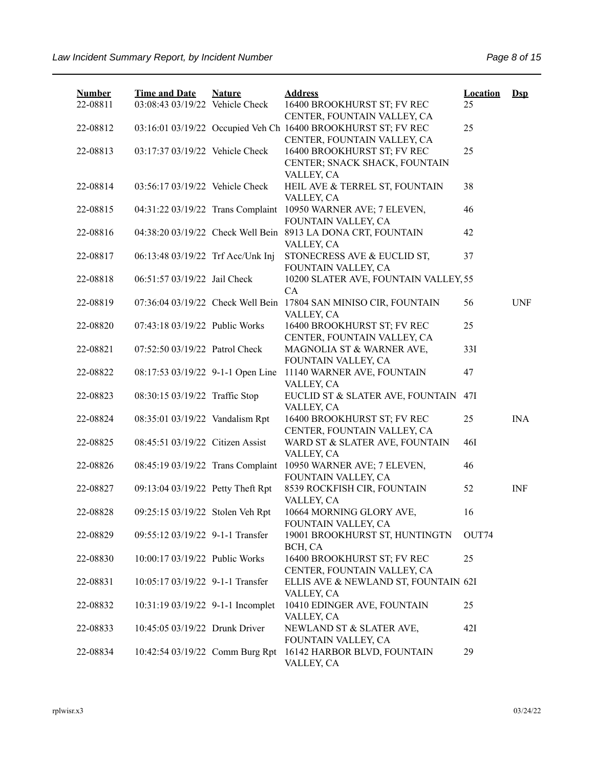| <b>Number</b><br>22-08811 | <b>Time and Date</b><br>03:08:43 03/19/22 Vehicle Check | <b>Nature</b> | <b>Address</b><br>16400 BROOKHURST ST; FV REC                                                                               | <b>Location</b><br>25 | $Ds$       |
|---------------------------|---------------------------------------------------------|---------------|-----------------------------------------------------------------------------------------------------------------------------|-----------------------|------------|
| 22-08812                  |                                                         |               | CENTER, FOUNTAIN VALLEY, CA<br>03:16:01 03/19/22 Occupied Veh Ch 16400 BROOKHURST ST; FV REC<br>CENTER, FOUNTAIN VALLEY, CA | 25                    |            |
| 22-08813                  | 03:17:37 03/19/22 Vehicle Check                         |               | 16400 BROOKHURST ST; FV REC<br>CENTER; SNACK SHACK, FOUNTAIN<br>VALLEY, CA                                                  | 25                    |            |
| 22-08814                  | 03:56:17 03/19/22 Vehicle Check                         |               | HEIL AVE & TERREL ST, FOUNTAIN<br>VALLEY, CA                                                                                | 38                    |            |
| 22-08815                  |                                                         |               | 04:31:22 03/19/22 Trans Complaint 10950 WARNER AVE; 7 ELEVEN,<br>FOUNTAIN VALLEY, CA                                        | 46                    |            |
| 22-08816                  |                                                         |               | 04:38:20 03/19/22 Check Well Bein 8913 LA DONA CRT, FOUNTAIN<br>VALLEY, CA                                                  | 42                    |            |
| 22-08817                  | 06:13:48 03/19/22 Trf Acc/Unk Inj                       |               | STONECRESS AVE & EUCLID ST,<br>FOUNTAIN VALLEY, CA                                                                          | 37                    |            |
| 22-08818                  | 06:51:57 03/19/22 Jail Check                            |               | 10200 SLATER AVE, FOUNTAIN VALLEY, 55<br>CA                                                                                 |                       |            |
| 22-08819                  |                                                         |               | 07:36:04 03/19/22 Check Well Bein 17804 SAN MINISO CIR, FOUNTAIN<br>VALLEY, CA                                              | 56                    | <b>UNF</b> |
| 22-08820                  | 07:43:18 03/19/22 Public Works                          |               | 16400 BROOKHURST ST; FV REC<br>CENTER, FOUNTAIN VALLEY, CA                                                                  | 25                    |            |
| 22-08821                  | 07:52:50 03/19/22 Patrol Check                          |               | MAGNOLIA ST & WARNER AVE,<br>FOUNTAIN VALLEY, CA                                                                            | 33I                   |            |
| 22-08822                  | 08:17:53 03/19/22 9-1-1 Open Line                       |               | 11140 WARNER AVE, FOUNTAIN<br>VALLEY, CA                                                                                    | 47                    |            |
| 22-08823                  | 08:30:15 03/19/22 Traffic Stop                          |               | EUCLID ST & SLATER AVE, FOUNTAIN<br>VALLEY, CA                                                                              | 47I                   |            |
| 22-08824                  | 08:35:01 03/19/22 Vandalism Rpt                         |               | 16400 BROOKHURST ST; FV REC<br>CENTER, FOUNTAIN VALLEY, CA                                                                  | 25                    | <b>INA</b> |
| 22-08825                  | 08:45:51 03/19/22 Citizen Assist                        |               | WARD ST & SLATER AVE, FOUNTAIN<br>VALLEY, CA                                                                                | <b>46I</b>            |            |
| 22-08826                  |                                                         |               | 08:45:19 03/19/22 Trans Complaint 10950 WARNER AVE; 7 ELEVEN,<br>FOUNTAIN VALLEY, CA                                        | 46                    |            |
| 22-08827                  | 09:13:04 03/19/22 Petty Theft Rpt                       |               | 8539 ROCKFISH CIR, FOUNTAIN<br>VALLEY, CA                                                                                   | 52                    | <b>INF</b> |
| 22-08828                  | 09:25:15 03/19/22 Stolen Veh Rpt                        |               | 10664 MORNING GLORY AVE,<br>FOUNTAIN VALLEY, CA                                                                             | 16                    |            |
| 22-08829                  | 09:55:12 03/19/22 9-1-1 Transfer                        |               | 19001 BROOKHURST ST, HUNTINGTN<br>BCH, CA                                                                                   | OUT74                 |            |
| 22-08830                  | 10:00:17 03/19/22 Public Works                          |               | 16400 BROOKHURST ST; FV REC<br>CENTER, FOUNTAIN VALLEY, CA                                                                  | 25                    |            |
| 22-08831                  | 10:05:17 03/19/22 9-1-1 Transfer                        |               | ELLIS AVE & NEWLAND ST, FOUNTAIN 62I<br>VALLEY, CA                                                                          |                       |            |
| 22-08832                  | 10:31:19 03/19/22 9-1-1 Incomplet                       |               | 10410 EDINGER AVE, FOUNTAIN<br>VALLEY, CA                                                                                   | 25                    |            |
| 22-08833                  | 10:45:05 03/19/22 Drunk Driver                          |               | NEWLAND ST & SLATER AVE,<br>FOUNTAIN VALLEY, CA                                                                             | 42I                   |            |
| 22-08834                  | 10:42:54 03/19/22 Comm Burg Rpt                         |               | 16142 HARBOR BLVD, FOUNTAIN<br>VALLEY, CA                                                                                   | 29                    |            |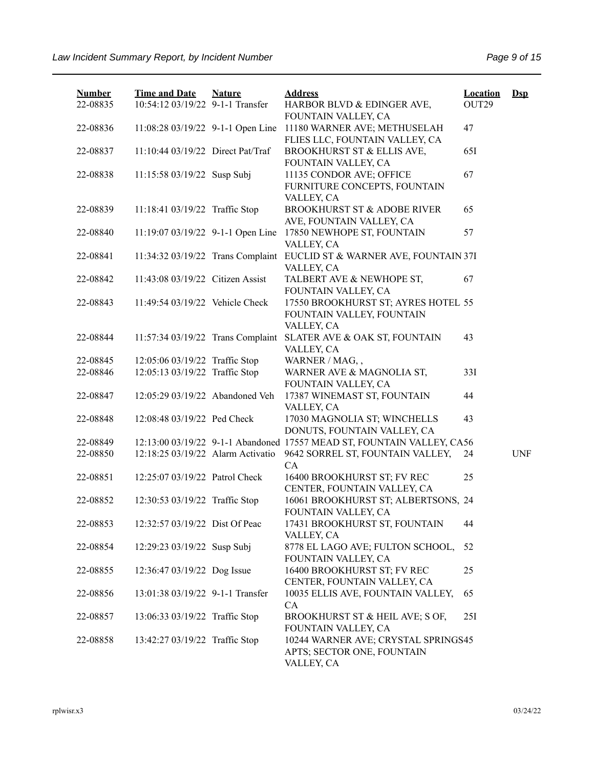| <b>Number</b><br>22-08835 | <b>Time and Date</b><br>10:54:12 03/19/22 9-1-1 Transfer | <b>Nature</b> | <b>Address</b><br>HARBOR BLVD & EDINGER AVE,                           | <b>Location</b><br>OUT29 | $\mathbf{Dsp}$ |
|---------------------------|----------------------------------------------------------|---------------|------------------------------------------------------------------------|--------------------------|----------------|
|                           |                                                          |               | FOUNTAIN VALLEY, CA                                                    |                          |                |
| 22-08836                  | 11:08:28 03/19/22 9-1-1 Open Line                        |               | 11180 WARNER AVE; METHUSELAH                                           | 47                       |                |
|                           |                                                          |               | FLIES LLC, FOUNTAIN VALLEY, CA                                         |                          |                |
| 22-08837                  | 11:10:44 03/19/22 Direct Pat/Traf                        |               | BROOKHURST ST & ELLIS AVE,                                             | 65I                      |                |
|                           |                                                          |               | FOUNTAIN VALLEY, CA                                                    |                          |                |
| 22-08838                  | 11:15:58 03/19/22 Susp Subj                              |               | 11135 CONDOR AVE; OFFICE                                               | 67                       |                |
|                           |                                                          |               | FURNITURE CONCEPTS, FOUNTAIN                                           |                          |                |
|                           |                                                          |               | VALLEY, CA                                                             |                          |                |
| 22-08839                  | 11:18:41 03/19/22 Traffic Stop                           |               | <b>BROOKHURST ST &amp; ADOBE RIVER</b>                                 | 65                       |                |
|                           |                                                          |               | AVE, FOUNTAIN VALLEY, CA                                               |                          |                |
| 22-08840                  | 11:19:07 03/19/22 9-1-1 Open Line                        |               | 17850 NEWHOPE ST, FOUNTAIN                                             | 57                       |                |
|                           |                                                          |               | VALLEY, CA                                                             |                          |                |
| 22-08841                  | 11:34:32 03/19/22 Trans Complaint                        |               | EUCLID ST & WARNER AVE, FOUNTAIN 37I                                   |                          |                |
|                           |                                                          |               | VALLEY, CA                                                             |                          |                |
| 22-08842                  | 11:43:08 03/19/22 Citizen Assist                         |               | TALBERT AVE & NEWHOPE ST,                                              | 67                       |                |
|                           |                                                          |               | FOUNTAIN VALLEY, CA                                                    |                          |                |
| 22-08843                  | 11:49:54 03/19/22 Vehicle Check                          |               | 17550 BROOKHURST ST; AYRES HOTEL 55                                    |                          |                |
|                           |                                                          |               | FOUNTAIN VALLEY, FOUNTAIN                                              |                          |                |
|                           |                                                          |               | VALLEY, CA                                                             |                          |                |
| 22-08844                  | 11:57:34 03/19/22 Trans Complaint                        |               | SLATER AVE & OAK ST, FOUNTAIN                                          | 43                       |                |
|                           |                                                          |               | VALLEY, CA                                                             |                          |                |
| 22-08845                  | 12:05:06 03/19/22 Traffic Stop                           |               | WARNER / MAG,,                                                         |                          |                |
| 22-08846                  | 12:05:13 03/19/22 Traffic Stop                           |               | WARNER AVE & MAGNOLIA ST,                                              | 33I                      |                |
|                           |                                                          |               | FOUNTAIN VALLEY, CA                                                    |                          |                |
| 22-08847                  | 12:05:29 03/19/22 Abandoned Veh                          |               | 17387 WINEMAST ST, FOUNTAIN                                            | 44                       |                |
|                           |                                                          |               | VALLEY, CA                                                             |                          |                |
| 22-08848                  | 12:08:48 03/19/22 Ped Check                              |               | 17030 MAGNOLIA ST; WINCHELLS                                           | 43                       |                |
|                           |                                                          |               | DONUTS, FOUNTAIN VALLEY, CA                                            |                          |                |
| 22-08849                  |                                                          |               | 12:13:00 03/19/22 9-1-1 Abandoned 17557 MEAD ST, FOUNTAIN VALLEY, CA56 |                          |                |
| 22-08850                  | 12:18:25 03/19/22 Alarm Activatio                        |               | 9642 SORREL ST, FOUNTAIN VALLEY,                                       | 24                       | <b>UNF</b>     |
|                           | 12:25:07 03/19/22 Patrol Check                           |               | CA<br>16400 BROOKHURST ST; FV REC                                      |                          |                |
| 22-08851                  |                                                          |               | CENTER, FOUNTAIN VALLEY, CA                                            | 25                       |                |
| 22-08852                  |                                                          |               | 16061 BROOKHURST ST; ALBERTSONS, 24                                    |                          |                |
|                           | 12:30:53 03/19/22 Traffic Stop                           |               | FOUNTAIN VALLEY, CA                                                    |                          |                |
| 22-08853                  | 12:32:57 03/19/22 Dist Of Peac                           |               | 17431 BROOKHURST ST, FOUNTAIN                                          | 44                       |                |
|                           |                                                          |               | VALLEY, CA                                                             |                          |                |
| 22-08854                  | 12:29:23 03/19/22 Susp Subj                              |               | 8778 EL LAGO AVE; FULTON SCHOOL,                                       | 52                       |                |
|                           |                                                          |               | FOUNTAIN VALLEY, CA                                                    |                          |                |
| 22-08855                  | 12:36:47 03/19/22 Dog Issue                              |               | 16400 BROOKHURST ST; FV REC                                            | 25                       |                |
|                           |                                                          |               | CENTER, FOUNTAIN VALLEY, CA                                            |                          |                |
| 22-08856                  | 13:01:38 03/19/22 9-1-1 Transfer                         |               | 10035 ELLIS AVE, FOUNTAIN VALLEY,                                      | 65                       |                |
|                           |                                                          |               | CA                                                                     |                          |                |
| 22-08857                  | 13:06:33 03/19/22 Traffic Stop                           |               | BROOKHURST ST & HEIL AVE; S OF,                                        | 25I                      |                |
|                           |                                                          |               | FOUNTAIN VALLEY, CA                                                    |                          |                |
| 22-08858                  | 13:42:27 03/19/22 Traffic Stop                           |               | 10244 WARNER AVE; CRYSTAL SPRINGS45                                    |                          |                |
|                           |                                                          |               | APTS; SECTOR ONE, FOUNTAIN                                             |                          |                |
|                           |                                                          |               | VALLEY, CA                                                             |                          |                |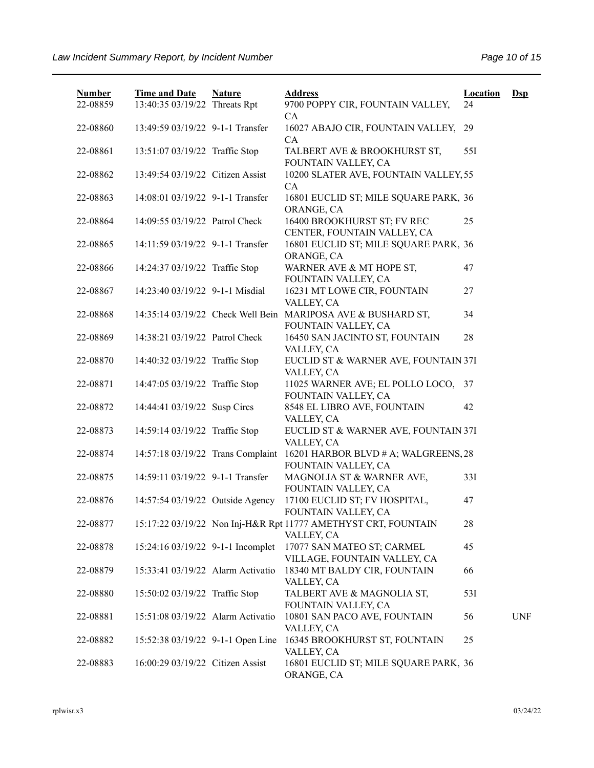| <b>Number</b><br>22-08859 | <b>Time and Date</b><br>13:40:35 03/19/22 Threats Rpt | <b>Nature</b> | <b>Address</b><br>9700 POPPY CIR, FOUNTAIN VALLEY,                                  | <b>Location</b><br>24 | $Dep$      |
|---------------------------|-------------------------------------------------------|---------------|-------------------------------------------------------------------------------------|-----------------------|------------|
| 22-08860                  | 13:49:59 03/19/22 9-1-1 Transfer                      |               | CA<br>16027 ABAJO CIR, FOUNTAIN VALLEY,<br>CA                                       | 29                    |            |
| 22-08861                  | 13:51:07 03/19/22 Traffic Stop                        |               | TALBERT AVE & BROOKHURST ST,<br>FOUNTAIN VALLEY, CA                                 | 55I                   |            |
| 22-08862                  | 13:49:54 03/19/22 Citizen Assist                      |               | 10200 SLATER AVE, FOUNTAIN VALLEY, 55<br>CA                                         |                       |            |
| 22-08863                  | 14:08:01 03/19/22 9-1-1 Transfer                      |               | 16801 EUCLID ST; MILE SQUARE PARK, 36<br>ORANGE, CA                                 |                       |            |
| 22-08864                  | 14:09:55 03/19/22 Patrol Check                        |               | 16400 BROOKHURST ST; FV REC<br>CENTER, FOUNTAIN VALLEY, CA                          | 25                    |            |
| 22-08865                  | 14:11:59 03/19/22 9-1-1 Transfer                      |               | 16801 EUCLID ST; MILE SQUARE PARK, 36<br>ORANGE, CA                                 |                       |            |
| 22-08866                  | 14:24:37 03/19/22 Traffic Stop                        |               | WARNER AVE & MT HOPE ST,<br>FOUNTAIN VALLEY, CA                                     | 47                    |            |
| 22-08867                  | 14:23:40 03/19/22 9-1-1 Misdial                       |               | 16231 MT LOWE CIR, FOUNTAIN<br>VALLEY, CA                                           | 27                    |            |
| 22-08868                  |                                                       |               | 14:35:14 03/19/22 Check Well Bein MARIPOSA AVE & BUSHARD ST,<br>FOUNTAIN VALLEY, CA | 34                    |            |
| 22-08869                  | 14:38:21 03/19/22 Patrol Check                        |               | 16450 SAN JACINTO ST, FOUNTAIN<br>VALLEY, CA                                        | 28                    |            |
| 22-08870                  | 14:40:32 03/19/22 Traffic Stop                        |               | EUCLID ST & WARNER AVE, FOUNTAIN 37I<br>VALLEY, CA                                  |                       |            |
| 22-08871                  | 14:47:05 03/19/22 Traffic Stop                        |               | 11025 WARNER AVE; EL POLLO LOCO, 37<br>FOUNTAIN VALLEY, CA                          |                       |            |
| 22-08872                  | 14:44:41 03/19/22 Susp Circs                          |               | 8548 EL LIBRO AVE, FOUNTAIN<br>VALLEY, CA                                           | 42                    |            |
| 22-08873                  | 14:59:14 03/19/22 Traffic Stop                        |               | EUCLID ST & WARNER AVE, FOUNTAIN 37I<br>VALLEY, CA                                  |                       |            |
| 22-08874                  | 14:57:18 03/19/22 Trans Complaint                     |               | 16201 HARBOR BLVD # A; WALGREENS, 28<br>FOUNTAIN VALLEY, CA                         |                       |            |
| 22-08875                  | 14:59:11 03/19/22 9-1-1 Transfer                      |               | MAGNOLIA ST & WARNER AVE,<br>FOUNTAIN VALLEY, CA                                    | 33I                   |            |
| 22-08876                  | 14:57:54 03/19/22 Outside Agency                      |               | 17100 EUCLID ST; FV HOSPITAL,<br>FOUNTAIN VALLEY, CA                                | 47                    |            |
| 22-08877                  |                                                       |               | 15:17:22 03/19/22 Non Inj-H&R Rpt 11777 AMETHYST CRT, FOUNTAIN<br>VALLEY, CA        | 28                    |            |
| 22-08878                  | 15:24:16 03/19/22 9-1-1 Incomplet                     |               | 17077 SAN MATEO ST; CARMEL<br>VILLAGE, FOUNTAIN VALLEY, CA                          | 45                    |            |
| 22-08879                  | 15:33:41 03/19/22 Alarm Activatio                     |               | 18340 MT BALDY CIR, FOUNTAIN<br>VALLEY, CA                                          | 66                    |            |
| 22-08880                  | 15:50:02 03/19/22 Traffic Stop                        |               | TALBERT AVE & MAGNOLIA ST,<br>FOUNTAIN VALLEY, CA                                   | 53I                   |            |
| 22-08881                  | 15:51:08 03/19/22 Alarm Activatio                     |               | 10801 SAN PACO AVE, FOUNTAIN<br>VALLEY, CA                                          | 56                    | <b>UNF</b> |
| 22-08882                  | 15:52:38 03/19/22 9-1-1 Open Line                     |               | 16345 BROOKHURST ST, FOUNTAIN<br>VALLEY, CA                                         | 25                    |            |
| 22-08883                  | 16:00:29 03/19/22 Citizen Assist                      |               | 16801 EUCLID ST; MILE SQUARE PARK, 36<br>ORANGE, CA                                 |                       |            |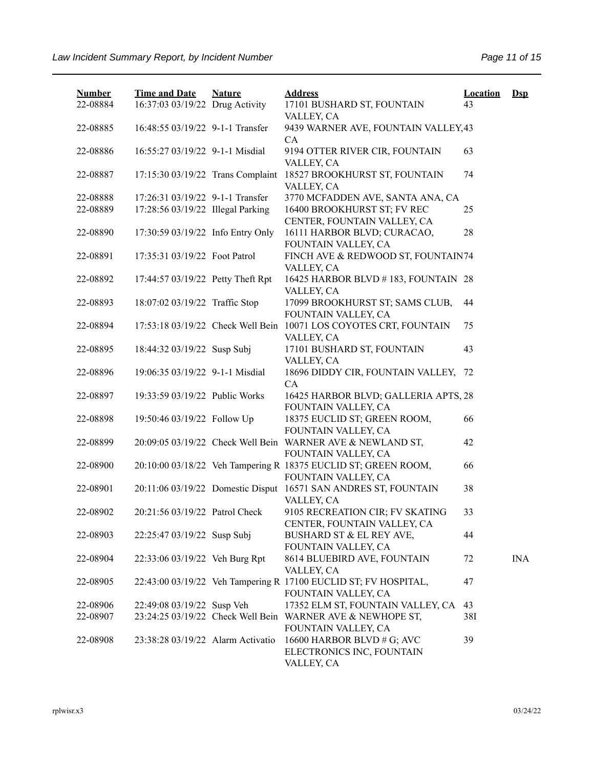| <b>Number</b> | <b>Time and Date</b>              | <b>Nature</b> | <b>Address</b>                                                                         | <b>Location</b> | $\mathbf{Dsp}$ |
|---------------|-----------------------------------|---------------|----------------------------------------------------------------------------------------|-----------------|----------------|
| 22-08884      | 16:37:03 03/19/22 Drug Activity   |               | 17101 BUSHARD ST, FOUNTAIN<br>VALLEY, CA                                               | 43              |                |
| 22-08885      | 16:48:55 03/19/22 9-1-1 Transfer  |               | 9439 WARNER AVE, FOUNTAIN VALLEY, 43<br>CA                                             |                 |                |
| 22-08886      | 16:55:27 03/19/22 9-1-1 Misdial   |               | 9194 OTTER RIVER CIR, FOUNTAIN                                                         | 63              |                |
| 22-08887      | 17:15:30 03/19/22 Trans Complaint |               | VALLEY, CA<br>18527 BROOKHURST ST, FOUNTAIN<br>VALLEY, CA                              | 74              |                |
| 22-08888      | 17:26:31 03/19/22 9-1-1 Transfer  |               | 3770 MCFADDEN AVE, SANTA ANA, CA                                                       |                 |                |
| 22-08889      | 17:28:56 03/19/22 Illegal Parking |               | 16400 BROOKHURST ST; FV REC<br>CENTER, FOUNTAIN VALLEY, CA                             | 25              |                |
| 22-08890      | 17:30:59 03/19/22 Info Entry Only |               | 16111 HARBOR BLVD; CURACAO,<br>FOUNTAIN VALLEY, CA                                     | 28              |                |
| 22-08891      | 17:35:31 03/19/22 Foot Patrol     |               | FINCH AVE & REDWOOD ST, FOUNTAIN74                                                     |                 |                |
| 22-08892      | 17:44:57 03/19/22 Petty Theft Rpt |               | VALLEY, CA<br>16425 HARBOR BLVD #183, FOUNTAIN 28<br>VALLEY, CA                        |                 |                |
| 22-08893      | 18:07:02 03/19/22 Traffic Stop    |               | 17099 BROOKHURST ST; SAMS CLUB,<br>FOUNTAIN VALLEY, CA                                 | 44              |                |
| 22-08894      | 17:53:18 03/19/22 Check Well Bein |               | 10071 LOS COYOTES CRT, FOUNTAIN<br>VALLEY, CA                                          | 75              |                |
| 22-08895      | 18:44:32 03/19/22 Susp Subj       |               | 17101 BUSHARD ST, FOUNTAIN<br>VALLEY, CA                                               | 43              |                |
| 22-08896      | 19:06:35 03/19/22 9-1-1 Misdial   |               | 18696 DIDDY CIR, FOUNTAIN VALLEY, 72<br>CA                                             |                 |                |
| 22-08897      | 19:33:59 03/19/22 Public Works    |               | 16425 HARBOR BLVD; GALLERIA APTS, 28<br>FOUNTAIN VALLEY, CA                            |                 |                |
| 22-08898      | 19:50:46 03/19/22 Follow Up       |               | 18375 EUCLID ST; GREEN ROOM,<br>FOUNTAIN VALLEY, CA                                    | 66              |                |
| 22-08899      |                                   |               | 20:09:05 03/19/22 Check Well Bein WARNER AVE & NEWLAND ST,<br>FOUNTAIN VALLEY, CA      | 42              |                |
| 22-08900      |                                   |               | 20:10:00 03/18/22 Veh Tampering R 18375 EUCLID ST; GREEN ROOM,<br>FOUNTAIN VALLEY, CA  | 66              |                |
| 22-08901      |                                   |               | 20:11:06 03/19/22 Domestic Disput 16571 SAN ANDRES ST, FOUNTAIN<br>VALLEY, CA          | 38              |                |
| 22-08902      | 20:21:56 03/19/22 Patrol Check    |               | 9105 RECREATION CIR; FV SKATING<br>CENTER, FOUNTAIN VALLEY, CA                         | 33              |                |
| 22-08903      | 22:25:47 03/19/22 Susp Subj       |               | BUSHARD ST & EL REY AVE,<br>FOUNTAIN VALLEY, CA                                        | 44              |                |
| 22-08904      | 22:33:06 03/19/22 Veh Burg Rpt    |               | 8614 BLUEBIRD AVE, FOUNTAIN<br>VALLEY, CA                                              | 72              | <b>INA</b>     |
| 22-08905      |                                   |               | 22:43:00 03/19/22 Veh Tampering R 17100 EUCLID ST; FV HOSPITAL,<br>FOUNTAIN VALLEY, CA | 47              |                |
| 22-08906      | 22:49:08 03/19/22 Susp Veh        |               | 17352 ELM ST, FOUNTAIN VALLEY, CA                                                      | 43              |                |
| 22-08907      |                                   |               | 23:24:25 03/19/22 Check Well Bein WARNER AVE & NEWHOPE ST,                             | 38I             |                |
|               |                                   |               | FOUNTAIN VALLEY, CA                                                                    |                 |                |
| 22-08908      | 23:38:28 03/19/22 Alarm Activatio |               | 16600 HARBOR BLVD # G; AVC<br>ELECTRONICS INC, FOUNTAIN<br>VALLEY, CA                  | 39              |                |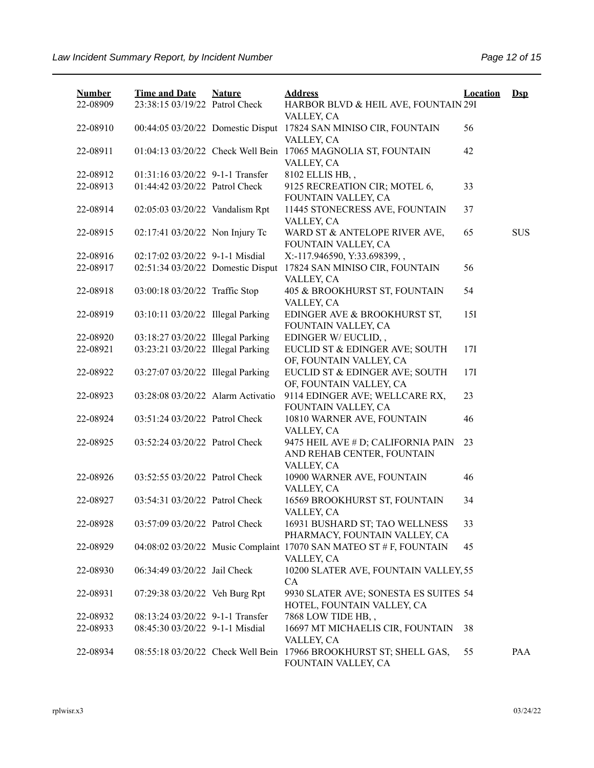| <b>Number</b> | <b>Time and Date</b>              | <b>Nature</b> | <b>Address</b>                                                                           | <b>Location</b> | $Ds$       |
|---------------|-----------------------------------|---------------|------------------------------------------------------------------------------------------|-----------------|------------|
| 22-08909      | 23:38:15 03/19/22 Patrol Check    |               | HARBOR BLVD & HEIL AVE, FOUNTAIN 29I<br>VALLEY, CA                                       |                 |            |
| 22-08910      | 00:44:05 03/20/22 Domestic Disput |               | 17824 SAN MINISO CIR, FOUNTAIN<br>VALLEY, CA                                             | 56              |            |
| 22-08911      |                                   |               | 01:04:13 03/20/22 Check Well Bein 17065 MAGNOLIA ST, FOUNTAIN<br>VALLEY, CA              | 42              |            |
| 22-08912      | 01:31:16 03/20/22 9-1-1 Transfer  |               | 8102 ELLIS HB,,                                                                          |                 |            |
| 22-08913      | 01:44:42 03/20/22 Patrol Check    |               | 9125 RECREATION CIR; MOTEL 6,<br>FOUNTAIN VALLEY, CA                                     | 33              |            |
| 22-08914      | 02:05:03 03/20/22 Vandalism Rpt   |               | 11445 STONECRESS AVE, FOUNTAIN<br>VALLEY, CA                                             | 37              |            |
| 22-08915      | 02:17:41 03/20/22 Non Injury Tc   |               | WARD ST & ANTELOPE RIVER AVE,<br>FOUNTAIN VALLEY, CA                                     | 65              | <b>SUS</b> |
| 22-08916      | 02:17:02 03/20/22 9-1-1 Misdial   |               | X:-117.946590, Y:33.698399,,                                                             |                 |            |
| 22-08917      | 02:51:34 03/20/22 Domestic Disput |               | 17824 SAN MINISO CIR, FOUNTAIN<br>VALLEY, CA                                             | 56              |            |
| 22-08918      | 03:00:18 03/20/22 Traffic Stop    |               | 405 & BROOKHURST ST, FOUNTAIN<br>VALLEY, CA                                              | 54              |            |
| 22-08919      | 03:10:11 03/20/22 Illegal Parking |               | EDINGER AVE & BROOKHURST ST,<br>FOUNTAIN VALLEY, CA                                      | 15I             |            |
| 22-08920      | 03:18:27 03/20/22 Illegal Parking |               | EDINGER W/EUCLID,,                                                                       |                 |            |
| 22-08921      | 03:23:21 03/20/22 Illegal Parking |               | EUCLID ST & EDINGER AVE; SOUTH<br>OF, FOUNTAIN VALLEY, CA                                | 17I             |            |
| 22-08922      | 03:27:07 03/20/22 Illegal Parking |               | EUCLID ST & EDINGER AVE; SOUTH<br>OF, FOUNTAIN VALLEY, CA                                | 17I             |            |
| 22-08923      | 03:28:08 03/20/22 Alarm Activatio |               | 9114 EDINGER AVE; WELLCARE RX,<br>FOUNTAIN VALLEY, CA                                    | 23              |            |
| 22-08924      | 03:51:24 03/20/22 Patrol Check    |               | 10810 WARNER AVE, FOUNTAIN<br>VALLEY, CA                                                 | 46              |            |
| 22-08925      | 03:52:24 03/20/22 Patrol Check    |               | 9475 HEIL AVE # D; CALIFORNIA PAIN<br>AND REHAB CENTER, FOUNTAIN<br>VALLEY, CA           | 23              |            |
| 22-08926      | 03:52:55 03/20/22 Patrol Check    |               | 10900 WARNER AVE, FOUNTAIN<br>VALLEY, CA                                                 | 46              |            |
| 22-08927      | 03:54:31 03/20/22 Patrol Check    |               | 16569 BROOKHURST ST, FOUNTAIN<br>VALLEY, CA                                              | 34              |            |
| 22-08928      | 03:57:09 03/20/22 Patrol Check    |               | 16931 BUSHARD ST; TAO WELLNESS<br>PHARMACY, FOUNTAIN VALLEY, CA                          | 33              |            |
| 22-08929      |                                   |               | 04:08:02 03/20/22 Music Complaint 17070 SAN MATEO ST # F, FOUNTAIN<br>VALLEY, CA         | 45              |            |
| 22-08930      | 06:34:49 03/20/22 Jail Check      |               | 10200 SLATER AVE, FOUNTAIN VALLEY, 55<br>CA                                              |                 |            |
| 22-08931      | 07:29:38 03/20/22 Veh Burg Rpt    |               | 9930 SLATER AVE; SONESTA ES SUITES 54<br>HOTEL, FOUNTAIN VALLEY, CA                      |                 |            |
| 22-08932      | 08:13:24 03/20/22 9-1-1 Transfer  |               | 7868 LOW TIDE HB,,                                                                       |                 |            |
| 22-08933      | 08:45:30 03/20/22 9-1-1 Misdial   |               | 16697 MT MICHAELIS CIR, FOUNTAIN<br>VALLEY, CA                                           | 38              |            |
| 22-08934      |                                   |               | 08:55:18 03/20/22 Check Well Bein 17966 BROOKHURST ST; SHELL GAS,<br>FOUNTAIN VALLEY, CA | 55              | PAA        |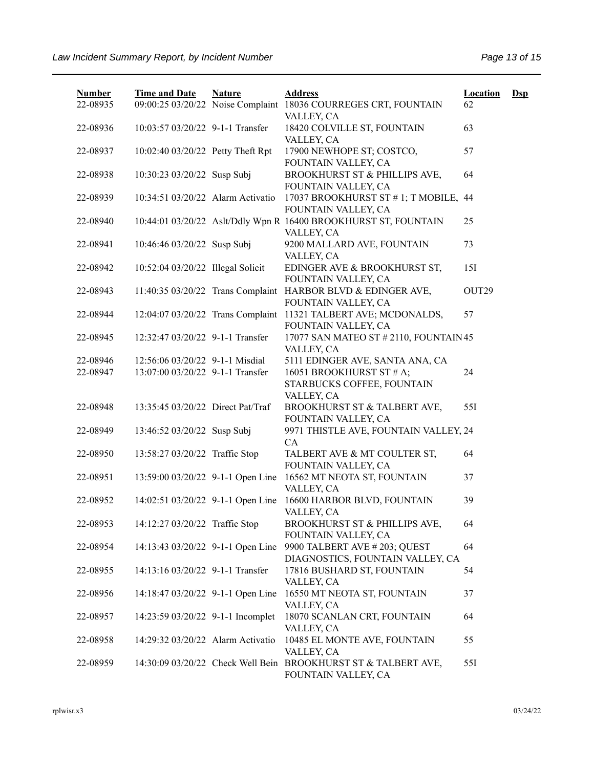| <b>Number</b><br>22-08935 | <b>Time and Date</b>                                                | <b>Nature</b> | <b>Address</b><br>09:00:25 03/20/22 Noise Complaint 18036 COURREGES CRT, FOUNTAIN                       | <b>Location</b><br>62 | $\mathbf{Dsp}$ |
|---------------------------|---------------------------------------------------------------------|---------------|---------------------------------------------------------------------------------------------------------|-----------------------|----------------|
| 22-08936                  | 10:03:57 03/20/22 9-1-1 Transfer                                    |               | VALLEY, CA<br>18420 COLVILLE ST, FOUNTAIN<br>VALLEY, CA                                                 | 63                    |                |
| 22-08937                  | 10:02:40 03/20/22 Petty Theft Rpt                                   |               | 17900 NEWHOPE ST; COSTCO,<br>FOUNTAIN VALLEY, CA                                                        | 57                    |                |
| 22-08938                  | 10:30:23 03/20/22 Susp Subj                                         |               | BROOKHURST ST & PHILLIPS AVE,<br>FOUNTAIN VALLEY, CA                                                    | 64                    |                |
| 22-08939                  | 10:34:51 03/20/22 Alarm Activatio                                   |               | 17037 BROOKHURST ST #1; T MOBILE,<br>FOUNTAIN VALLEY, CA                                                | 44                    |                |
| 22-08940                  |                                                                     |               | 10:44:01 03/20/22 Aslt/Ddly Wpn R 16400 BROOKHURST ST, FOUNTAIN<br>VALLEY, CA                           | 25                    |                |
| 22-08941                  | 10:46:46 03/20/22 Susp Subj                                         |               | 9200 MALLARD AVE, FOUNTAIN<br>VALLEY, CA                                                                | 73                    |                |
| 22-08942                  | 10:52:04 03/20/22 Illegal Solicit                                   |               | EDINGER AVE & BROOKHURST ST,<br>FOUNTAIN VALLEY, CA                                                     | 15I                   |                |
| 22-08943                  |                                                                     |               | 11:40:35 03/20/22 Trans Complaint HARBOR BLVD & EDINGER AVE,<br>FOUNTAIN VALLEY, CA                     | OUT29                 |                |
| 22-08944                  | 12:04:07 03/20/22 Trans Complaint                                   |               | 11321 TALBERT AVE; MCDONALDS,<br>FOUNTAIN VALLEY, CA                                                    | 57                    |                |
| 22-08945                  | 12:32:47 03/20/22 9-1-1 Transfer                                    |               | 17077 SAN MATEO ST # 2110, FOUNTAIN 45<br>VALLEY, CA                                                    |                       |                |
| 22-08946<br>22-08947      | 12:56:06 03/20/22 9-1-1 Misdial<br>13:07:00 03/20/22 9-1-1 Transfer |               | 5111 EDINGER AVE, SANTA ANA, CA<br>16051 BROOKHURST ST # A;<br>STARBUCKS COFFEE, FOUNTAIN<br>VALLEY, CA | 24                    |                |
| 22-08948                  | 13:35:45 03/20/22 Direct Pat/Traf                                   |               | BROOKHURST ST & TALBERT AVE,<br>FOUNTAIN VALLEY, CA                                                     | 55I                   |                |
| 22-08949                  | 13:46:52 03/20/22 Susp Subj                                         |               | 9971 THISTLE AVE, FOUNTAIN VALLEY, 24<br>CA                                                             |                       |                |
| 22-08950                  | 13:58:27 03/20/22 Traffic Stop                                      |               | TALBERT AVE & MT COULTER ST,<br>FOUNTAIN VALLEY, CA                                                     | 64                    |                |
| 22-08951                  | 13:59:00 03/20/22 9-1-1 Open Line                                   |               | 16562 MT NEOTA ST, FOUNTAIN<br>VALLEY, CA                                                               | 37                    |                |
| 22-08952                  | 14:02:51 03/20/22 9-1-1 Open Line                                   |               | 16600 HARBOR BLVD, FOUNTAIN<br>VALLEY, CA                                                               | 39                    |                |
| 22-08953                  | 14:12:27 03/20/22 Traffic Stop                                      |               | BROOKHURST ST & PHILLIPS AVE,<br>FOUNTAIN VALLEY, CA                                                    | 64                    |                |
| 22-08954                  | 14:13:43 03/20/22 9-1-1 Open Line                                   |               | 9900 TALBERT AVE #203; QUEST<br>DIAGNOSTICS, FOUNTAIN VALLEY, CA                                        | 64                    |                |
| 22-08955                  | 14:13:16 03/20/22 9-1-1 Transfer                                    |               | 17816 BUSHARD ST, FOUNTAIN<br>VALLEY, CA                                                                | 54                    |                |
| 22-08956                  | 14:18:47 03/20/22 9-1-1 Open Line                                   |               | 16550 MT NEOTA ST, FOUNTAIN<br>VALLEY, CA                                                               | 37                    |                |
| 22-08957                  | 14:23:59 03/20/22 9-1-1 Incomplet                                   |               | 18070 SCANLAN CRT, FOUNTAIN<br>VALLEY, CA                                                               | 64                    |                |
| 22-08958                  | 14:29:32 03/20/22 Alarm Activatio                                   |               | 10485 EL MONTE AVE, FOUNTAIN<br>VALLEY, CA                                                              | 55                    |                |
| 22-08959                  |                                                                     |               | 14:30:09 03/20/22 Check Well Bein BROOKHURST ST & TALBERT AVE,<br>FOUNTAIN VALLEY, CA                   | 55I                   |                |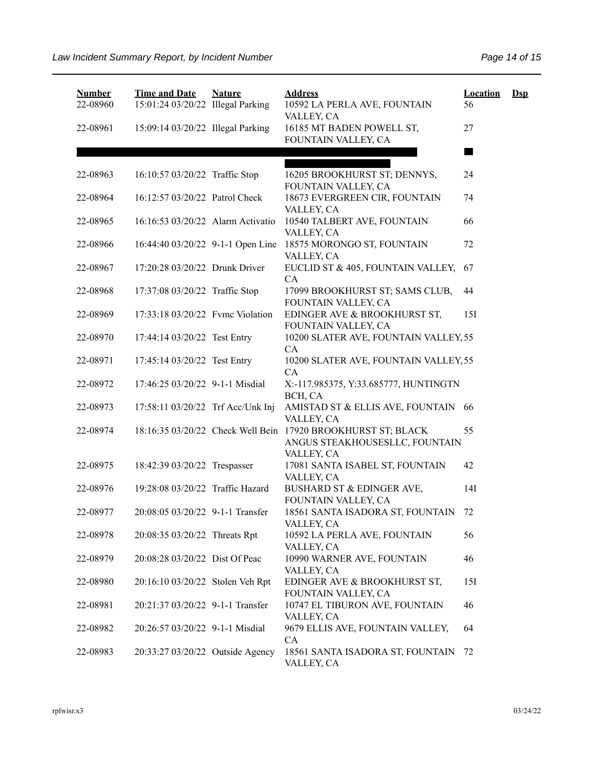| <b>Number</b><br>22-08960 | <b>Time and Date</b><br>15:01:24 03/20/22 Illegal Parking | <b>Nature</b> | <b>Address</b><br>10592 LA PERLA AVE, FOUNTAIN                             | <b>Location</b><br>56 | $\mathbf{Dsp}$ |
|---------------------------|-----------------------------------------------------------|---------------|----------------------------------------------------------------------------|-----------------------|----------------|
| 22-08961                  | 15:09:14 03/20/22 Illegal Parking                         |               | VALLEY, CA<br>16185 MT BADEN POWELL ST,<br>FOUNTAIN VALLEY, CA             | 27                    |                |
|                           |                                                           |               |                                                                            |                       |                |
| 22-08963                  | 16:10:57 03/20/22 Traffic Stop                            |               | 16205 BROOKHURST ST; DENNYS,<br>FOUNTAIN VALLEY, CA                        | 24                    |                |
| 22-08964                  | 16:12:57 03/20/22 Patrol Check                            |               | 18673 EVERGREEN CIR, FOUNTAIN<br>VALLEY, CA                                | 74                    |                |
| 22-08965                  | 16:16:53 03/20/22 Alarm Activatio                         |               | 10540 TALBERT AVE, FOUNTAIN<br>VALLEY, CA                                  | 66                    |                |
| 22-08966                  | 16:44:40 03/20/22 9-1-1 Open Line                         |               | 18575 MORONGO ST, FOUNTAIN<br>VALLEY, CA                                   | 72                    |                |
| 22-08967                  | 17:20:28 03/20/22 Drunk Driver                            |               | EUCLID ST & 405, FOUNTAIN VALLEY,<br>CA                                    | 67                    |                |
| 22-08968                  | 17:37:08 03/20/22 Traffic Stop                            |               | 17099 BROOKHURST ST; SAMS CLUB,<br>FOUNTAIN VALLEY, CA                     | 44                    |                |
| 22-08969                  | 17:33:18 03/20/22 Fvmc Violation                          |               | EDINGER AVE & BROOKHURST ST,<br>FOUNTAIN VALLEY, CA                        | 15I                   |                |
| 22-08970                  | 17:44:14 03/20/22 Test Entry                              |               | 10200 SLATER AVE, FOUNTAIN VALLEY, 55<br>CA                                |                       |                |
| 22-08971                  | 17:45:14 03/20/22 Test Entry                              |               | 10200 SLATER AVE, FOUNTAIN VALLEY, 55<br>CA                                |                       |                |
| 22-08972                  | 17:46:25 03/20/22 9-1-1 Misdial                           |               | X:-117.985375, Y:33.685777, HUNTINGTN<br>BCH, CA                           |                       |                |
| 22-08973                  | 17:58:11 03/20/22 Trf Acc/Unk Inj                         |               | AMISTAD ST & ELLIS AVE, FOUNTAIN<br>VALLEY, CA                             | 66                    |                |
| 22-08974                  | 18:16:35 03/20/22 Check Well Bein                         |               | 17920 BROOKHURST ST; BLACK<br>ANGUS STEAKHOUSESLLC, FOUNTAIN<br>VALLEY, CA | 55                    |                |
| 22-08975                  | 18:42:39 03/20/22 Trespasser                              |               | 17081 SANTA ISABEL ST, FOUNTAIN<br>VALLEY, CA                              | 42                    |                |
| 22-08976                  | 19:28:08 03/20/22 Traffic Hazard                          |               | <b>BUSHARD ST &amp; EDINGER AVE,</b><br>FOUNTAIN VALLEY, CA                | 14I                   |                |
| 22-08977                  | 20:08:05 03/20/22 9-1-1 Transfer                          |               | 18561 SANTA ISADORA ST, FOUNTAIN<br>VALLEY, CA                             | 72                    |                |
| 22-08978                  | 20:08:35 03/20/22 Threats Rpt                             |               | 10592 LA PERLA AVE, FOUNTAIN<br>VALLEY, CA                                 | 56                    |                |
| 22-08979                  | 20:08:28 03/20/22 Dist Of Peac                            |               | 10990 WARNER AVE, FOUNTAIN<br>VALLEY, CA                                   | 46                    |                |
| 22-08980                  | 20:16:10 03/20/22 Stolen Veh Rpt                          |               | EDINGER AVE & BROOKHURST ST,<br>FOUNTAIN VALLEY, CA                        | 15I                   |                |
| 22-08981                  | 20:21:37 03/20/22 9-1-1 Transfer                          |               | 10747 EL TIBURON AVE, FOUNTAIN<br>VALLEY, CA                               | 46                    |                |
| 22-08982                  | 20:26:57 03/20/22 9-1-1 Misdial                           |               | 9679 ELLIS AVE, FOUNTAIN VALLEY,<br>CA                                     | 64                    |                |
| 22-08983                  | 20:33:27 03/20/22 Outside Agency                          |               | 18561 SANTA ISADORA ST, FOUNTAIN<br>VALLEY, CA                             | 72                    |                |